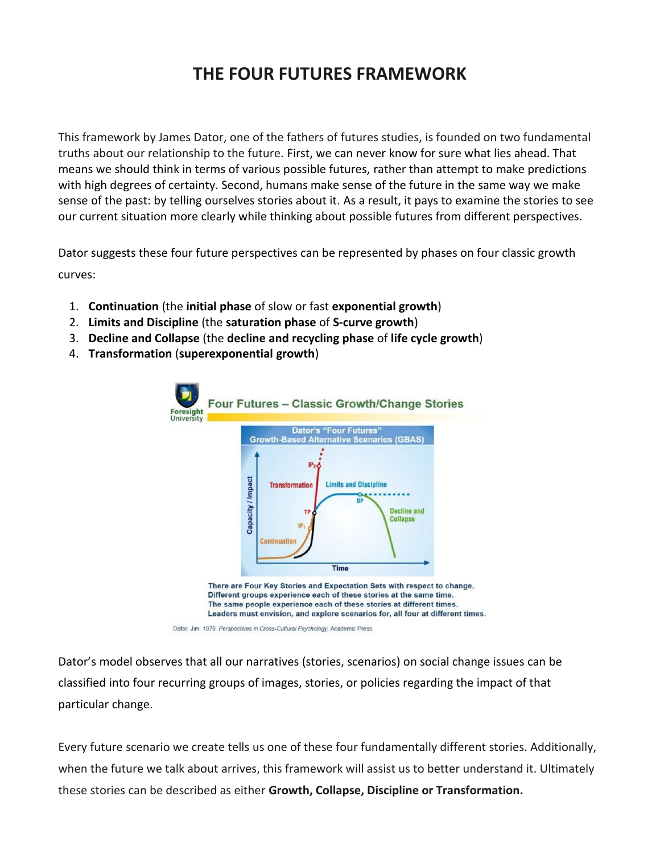## **THE FOUR FUTURES FRAMEWORK**

This framework by James Dator, one of the fathers of futures studies, is founded on two fundamental truths about our relationship to the future. First, we can never know for sure what lies ahead. That means we should think in terms of various possible futures, rather than attempt to make predictions with high degrees of certainty. Second, humans make sense of the future in the same way we make sense of the past: by telling ourselves stories about it. As a result, it pays to examine the stories to see our current situation more clearly while thinking about possible futures from different perspectives.

Dator suggests these four future perspectives can be represented by phases on four classic growth curves:

- 1. **Continuation** (the **initial phase** of slow or fast **exponential growth**)
- 2. **Limits and Discipline** (the **saturation phase** of **S-curve growth**)
- 3. **Decline and Collapse** (the **decline and recycling phase** of **life cycle growth**)
- 4. **Transformation** (**superexponential growth**)



The same people experience each of these stories at different times. Leaders must envision, and explore scenarios for, all four at different times.

Dator's model observes that all our narratives (stories, scenarios) on social change issues can be classified into four recurring groups of images, stories, or policies regarding the impact of that particular change.

Every future scenario we create tells us one of these four fundamentally different stories. Additionally, when the future we talk about arrives, this framework will assist us to better understand it. Ultimately these stories can be described as either **Growth, Collapse, Discipline or Transformation.**

Dator, Jim. 1979. Perspectives in Cross-Cultural Psychology, Academic Press.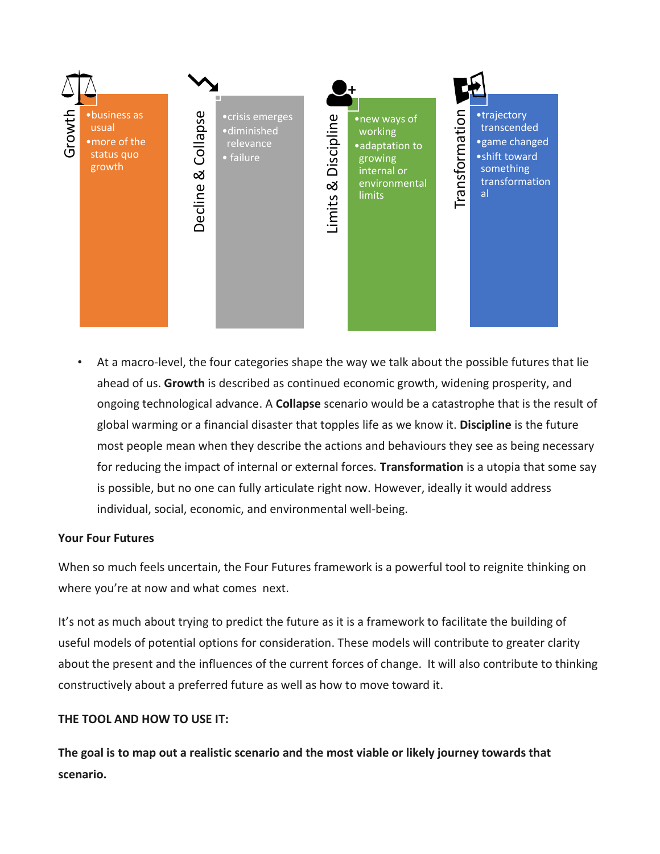

• At a macro-level, the four categories shape the way we talk about the possible futures that lie ahead of us. **Growth** is described as continued economic growth, widening prosperity, and ongoing technological advance. A **Collapse** scenario would be a catastrophe that is the result of global warming or a financial disaster that topples life as we know it. **Discipline** is the future most people mean when they describe the actions and behaviours they see as being necessary for reducing the impact of internal or external forces. **Transformation** is a utopia that some say is possible, but no one can fully articulate right now. However, ideally it would address individual, social, economic, and environmental well-being.

## **Your Four Futures**

When so much feels uncertain, the Four Futures framework is a powerful tool to reignite thinking on where you're at now and what comes next.

It's not as much about trying to predict the future as it is a framework to facilitate the building of useful models of potential options for consideration. These models will contribute to greater clarity about the present and the influences of the current forces of change. It will also contribute to thinking constructively about a preferred future as well as how to move toward it.

## **THE TOOL AND HOW TO USE IT:**

**The goal is to map out a realistic scenario and the most viable or likely journey towards that**  scenario.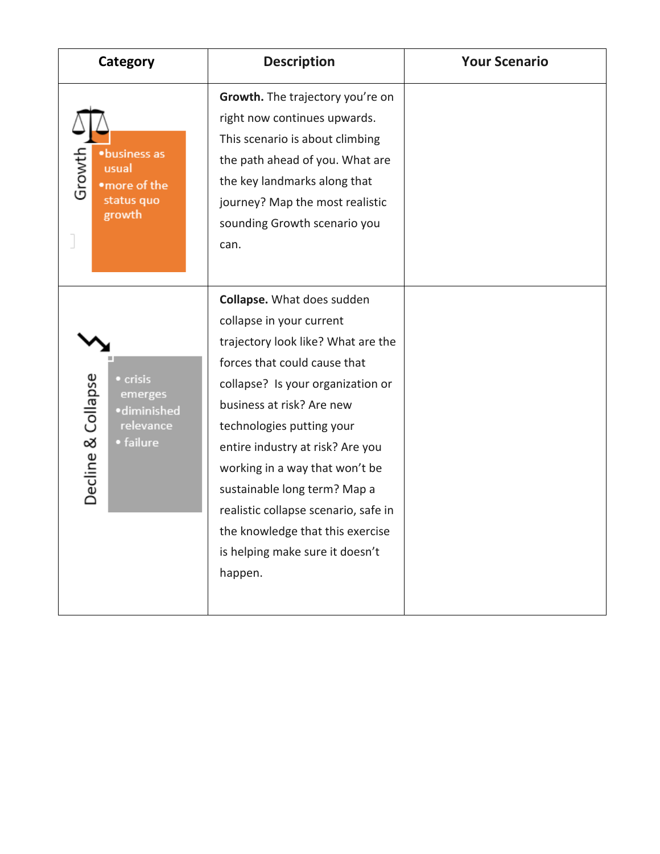| Category                                                                           | <b>Description</b>                                                                                                                                                                                                                                                                                                                                                                                                                                                 | <b>Your Scenario</b> |
|------------------------------------------------------------------------------------|--------------------------------------------------------------------------------------------------------------------------------------------------------------------------------------------------------------------------------------------------------------------------------------------------------------------------------------------------------------------------------------------------------------------------------------------------------------------|----------------------|
| ·business as<br>Growth<br>usual<br>•more of the<br>status quo<br>growth            | Growth. The trajectory you're on<br>right now continues upwards.<br>This scenario is about climbing<br>the path ahead of you. What are<br>the key landmarks along that<br>journey? Map the most realistic<br>sounding Growth scenario you<br>can.                                                                                                                                                                                                                  |                      |
| Decline & Collapse<br>• crisis<br>emerges<br>·diminished<br>relevance<br>• failure | <b>Collapse.</b> What does sudden<br>collapse in your current<br>trajectory look like? What are the<br>forces that could cause that<br>collapse? Is your organization or<br>business at risk? Are new<br>technologies putting your<br>entire industry at risk? Are you<br>working in a way that won't be<br>sustainable long term? Map a<br>realistic collapse scenario, safe in<br>the knowledge that this exercise<br>is helping make sure it doesn't<br>happen. |                      |